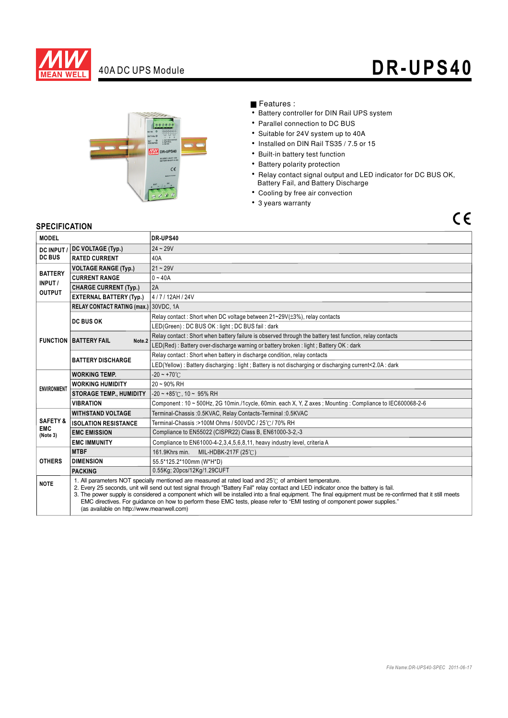

# 40A DC UPS Module **DR-UPS40**



### Features :

- Battery controller for DIN Rail UPS system
- Parallel connection to DC BUS
- Suitable for 24V system up to 40A
- Installed on DIN Rail TS35 / 7.5 or 15
- Built-in battery test function
- Battery polarity protection
- Relay contact signal output and LED indicator for DC BUS OK, Battery Fail, and Battery Discharge
- Cooling by free air convection
- 3 years warranty

## $C \in$

### **SPECIFICATION**

| <b>MODEL</b>                                  |                                                                                                                                                                                                                                                                                                                                                                                                                                                                                                                                                                                        | DR-UPS40                                                                                                 |
|-----------------------------------------------|----------------------------------------------------------------------------------------------------------------------------------------------------------------------------------------------------------------------------------------------------------------------------------------------------------------------------------------------------------------------------------------------------------------------------------------------------------------------------------------------------------------------------------------------------------------------------------------|----------------------------------------------------------------------------------------------------------|
| <b>DC INPUT</b><br><b>DC BUS</b>              | DC VOLTAGE (Typ.)                                                                                                                                                                                                                                                                                                                                                                                                                                                                                                                                                                      | $24 - 29V$                                                                                               |
|                                               | <b>RATED CURRENT</b>                                                                                                                                                                                                                                                                                                                                                                                                                                                                                                                                                                   | 40A                                                                                                      |
| <b>BATTERY</b><br>INPUT/<br><b>OUTPUT</b>     | <b>VOLTAGE RANGE (Typ.)</b>                                                                                                                                                                                                                                                                                                                                                                                                                                                                                                                                                            | $21 - 29V$                                                                                               |
|                                               | <b>CURRENT RANGE</b>                                                                                                                                                                                                                                                                                                                                                                                                                                                                                                                                                                   | $0 - 40A$                                                                                                |
|                                               | <b>CHARGE CURRENT (Typ.)</b>                                                                                                                                                                                                                                                                                                                                                                                                                                                                                                                                                           | 2A                                                                                                       |
|                                               | <b>EXTERNAL BATTERY (Typ.)</b>                                                                                                                                                                                                                                                                                                                                                                                                                                                                                                                                                         | 4/7/12AH/24V                                                                                             |
|                                               | RELAY CONTACT RATING (max.) 30VDC, 1A                                                                                                                                                                                                                                                                                                                                                                                                                                                                                                                                                  |                                                                                                          |
|                                               | <b>DC BUS OK</b>                                                                                                                                                                                                                                                                                                                                                                                                                                                                                                                                                                       | Relay contact: Short when DC voltage between 21~29V(±3%), relay contacts                                 |
|                                               |                                                                                                                                                                                                                                                                                                                                                                                                                                                                                                                                                                                        | LED(Green): DC BUS OK: light; DC BUS fail: dark                                                          |
|                                               | <b>FUNCTION BATTERY FAIL</b><br>Note <sub>.2</sub>                                                                                                                                                                                                                                                                                                                                                                                                                                                                                                                                     | Relay contact: Short when battery failure is observed through the battery test function, relay contacts  |
|                                               |                                                                                                                                                                                                                                                                                                                                                                                                                                                                                                                                                                                        | LED(Red): Battery over-discharge warning or battery broken: light; Battery OK: dark                      |
|                                               | <b>BATTERY DISCHARGE</b>                                                                                                                                                                                                                                                                                                                                                                                                                                                                                                                                                               | Relay contact: Short when battery in discharge condition, relay contacts                                 |
|                                               |                                                                                                                                                                                                                                                                                                                                                                                                                                                                                                                                                                                        | LED(Yellow): Battery discharging: light; Battery is not discharging or discharging current<2.0A: dark    |
| <b>ENVIRONMENT</b>                            | <b>WORKING TEMP.</b>                                                                                                                                                                                                                                                                                                                                                                                                                                                                                                                                                                   | $-20 - +70^{\circ}$ C                                                                                    |
|                                               | <b>WORKING HUMIDITY</b>                                                                                                                                                                                                                                                                                                                                                                                                                                                                                                                                                                | $20 - 90\%$ RH                                                                                           |
|                                               | <b>STORAGE TEMP., HUMIDITY</b>                                                                                                                                                                                                                                                                                                                                                                                                                                                                                                                                                         | $-20 \sim +85^{\circ}$ ( , 10 ~ 95% RH                                                                   |
|                                               | <b>VIBRATION</b>                                                                                                                                                                                                                                                                                                                                                                                                                                                                                                                                                                       | Component: 10 ~ 500Hz, 2G 10min./1cycle, 60min. each X, Y, Z axes; Mounting: Compliance to IEC600068-2-6 |
| <b>SAFETY &amp;</b><br><b>EMC</b><br>(Note 3) | <b>WITHSTAND VOLTAGE</b>                                                                                                                                                                                                                                                                                                                                                                                                                                                                                                                                                               | Terminal-Chassis: 0.5KVAC, Relay Contacts-Terminal: 0.5KVAC                                              |
|                                               | <b>ISOLATION RESISTANCE</b>                                                                                                                                                                                                                                                                                                                                                                                                                                                                                                                                                            | Terminal-Chassis: >100M Ohms / 500VDC / 25°C / 70% RH                                                    |
|                                               | <b>EMC EMISSION</b>                                                                                                                                                                                                                                                                                                                                                                                                                                                                                                                                                                    | Compliance to EN55022 (CISPR22) Class B, EN61000-3-2,-3                                                  |
|                                               | <b>EMC IMMUNITY</b>                                                                                                                                                                                                                                                                                                                                                                                                                                                                                                                                                                    | Compliance to EN61000-4-2, 3, 4, 5, 6, 8, 11, heavy industry level, criteria A                           |
| <b>OTHERS</b>                                 | <b>MTBF</b>                                                                                                                                                                                                                                                                                                                                                                                                                                                                                                                                                                            | 161.9Khrs min.<br>MIL-HDBK-217F (25℃)                                                                    |
|                                               | <b>DIMENSION</b>                                                                                                                                                                                                                                                                                                                                                                                                                                                                                                                                                                       | 55.5*125.2*100mm (W*H*D)                                                                                 |
|                                               | <b>PACKING</b>                                                                                                                                                                                                                                                                                                                                                                                                                                                                                                                                                                         | 0.55Kg; 20pcs/12Kg/1.29CUFT                                                                              |
| <b>NOTE</b>                                   | 1. All parameters NOT specially mentioned are measured at rated load and 25°C of ambient temperature.<br>2. Every 25 seconds, unit will send out test signal through "Battery Fail" relay contact and LED indicator once the battery is fail.<br>3. The power supply is considered a component which will be installed into a final equipment. The final equipment must be re-confirmed that it still meets<br>EMC directives. For guidance on how to perform these EMC tests, please refer to "EMI testing of component power supplies."<br>(as available on http://www.meanwell.com) |                                                                                                          |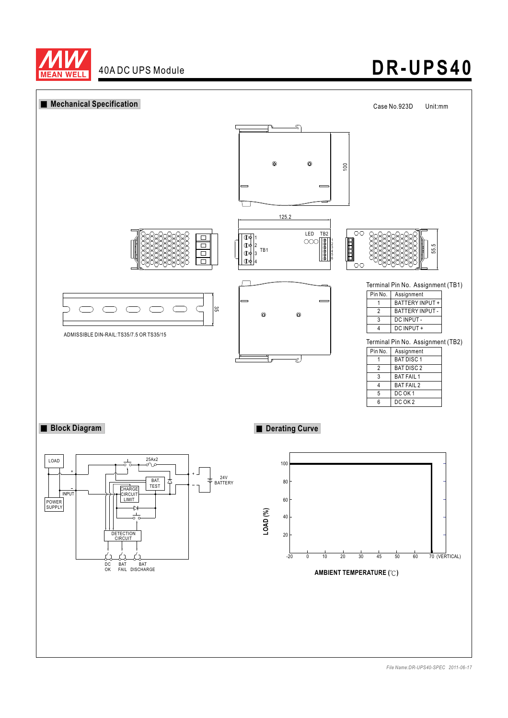

# **DR-UPS40**